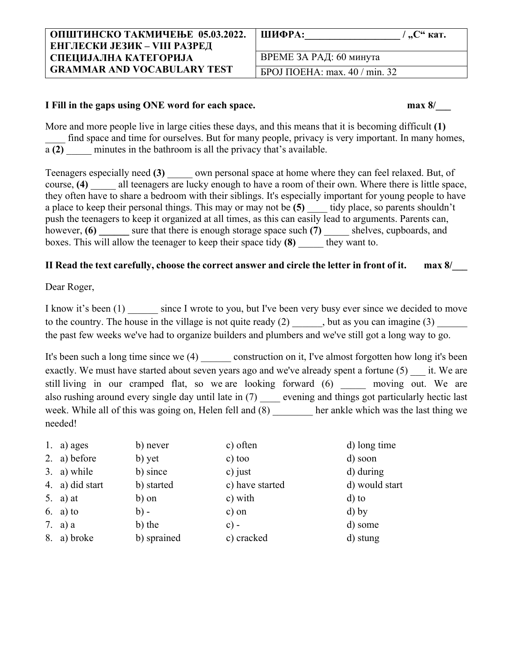| ОПШТИНСКО ТАКМИЧЕЊЕ 05.03.2022.     | ШИФРА:<br>$/$ , С" кат.                   |
|-------------------------------------|-------------------------------------------|
| <b>ЕНГЛЕСКИ ЈЕЗИК – VIII РАЗРЕД</b> |                                           |
| СПЕЦИЈАЛНА КАТЕГОРИЈА               | ВРЕМЕ ЗА РАД: 60 минута                   |
| <b>GRAMMAR AND VOCABULARY TEST</b>  | <b>GPOJ</b> $\Pi$ OEHA: max. 40 / min. 32 |

## **I Fill in the gaps using ONE word for each space. max 8/\_\_\_**

More and more people live in large cities these days, and this means that it is becoming difficult **(1)** find space and time for ourselves. But for many people, privacy is very important. In many homes, a **(2)** minutes in the bathroom is all the privacy that's available.

Teenagers especially need **(3)** \_\_\_\_\_ own personal space at home where they can feel relaxed. But, of course, **(4)** all teenagers are lucky enough to have a room of their own. Where there is little space, they often have to share a bedroom with their siblings. It's especially important for young people to have a place to keep their personal things. This may or may not be (5) tidy place, so parents shouldn't push the teenagers to keep it organized at all times, as this can easily lead to arguments. Parents can, however, **(6) a** sure that there is enough storage space such **(7) a** shelves, cupboards, and boxes. This will allow the teenager to keep their space tidy **(8)** \_\_\_\_\_ they want to.

## **II Read the text carefully, choose the correct answer and circle the letter in front of it. max 8/\_\_\_**

Dear Roger,

I know it's been (1) since I wrote to you, but I've been very busy ever since we decided to move to the country. The house in the village is not quite ready (2) \_\_\_\_\_\_, but as you can imagine (3) \_\_\_\_\_\_ the past few weeks we've had to organize builders and plumbers and we've still got a long way to go.

It's been such a long time since we (4) construction on it, I've almost forgotten how long it's been exactly. We must have started about seven years ago and we've already spent a fortune (5) it. We are still living in our cramped flat, so we are looking forward (6) \_\_\_\_\_ moving out. We are also rushing around every single day until late in (7) evening and things got particularly hectic last week. While all of this was going on, Helen fell and (8) her ankle which was the last thing we needed!

| 1. a) ages      | b) never    | c) often        | d) long time   |
|-----------------|-------------|-----------------|----------------|
| 2. a) before    | b) yet      | c) too          | d) soon        |
| 3. a) while     | b) since    | c) just         | d) during      |
| 4. a) did start | b) started  | c) have started | d) would start |
| 5. a) at        | b) on       | c) with         | $d$ ) to       |
| $6. a)$ to      | $b) -$      | c) on           | $d)$ by        |
| 7. a) a         | b) the      | $c$ ) -         | d) some        |
| 8. a) broke     | b) sprained | c) cracked      | d) stung       |
|                 |             |                 |                |